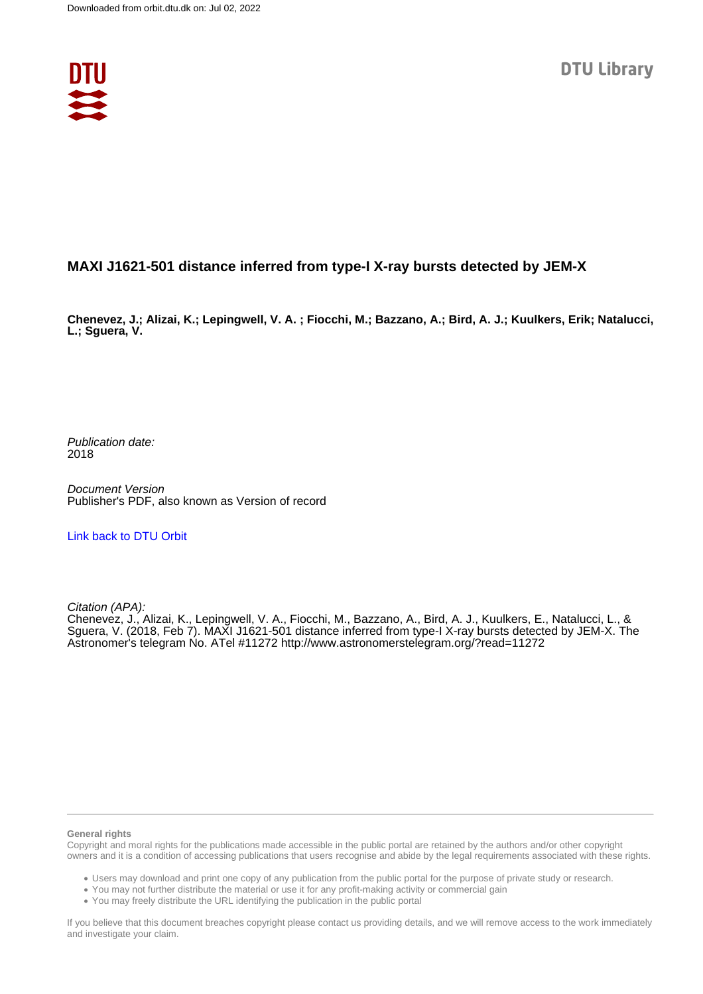

## **MAXI J1621-501 distance inferred from type-I X-ray bursts detected by JEM-X**

**Chenevez, J.; Alizai, K.; Lepingwell, V. A. ; Fiocchi, M.; Bazzano, A.; Bird, A. J.; Kuulkers, Erik; Natalucci, L.; Sguera, V.**

Publication date: 2018

Document Version Publisher's PDF, also known as Version of record

[Link back to DTU Orbit](https://orbit.dtu.dk/en/publications/8b3b8e41-baac-47c6-8e48-3f4ca7999689)

Citation (APA):

Chenevez, J., Alizai, K., Lepingwell, V. A., Fiocchi, M., Bazzano, A., Bird, A. J., Kuulkers, E., Natalucci, L., & Sguera, V. (2018, Feb 7). MAXI J1621-501 distance inferred from type-I X-ray bursts detected by JEM-X. The Astronomer's telegram No. ATel #11272 <http://www.astronomerstelegram.org/?read=11272>

## **General rights**

Copyright and moral rights for the publications made accessible in the public portal are retained by the authors and/or other copyright owners and it is a condition of accessing publications that users recognise and abide by the legal requirements associated with these rights.

Users may download and print one copy of any publication from the public portal for the purpose of private study or research.

- You may not further distribute the material or use it for any profit-making activity or commercial gain
- You may freely distribute the URL identifying the publication in the public portal

If you believe that this document breaches copyright please contact us providing details, and we will remove access to the work immediately and investigate your claim.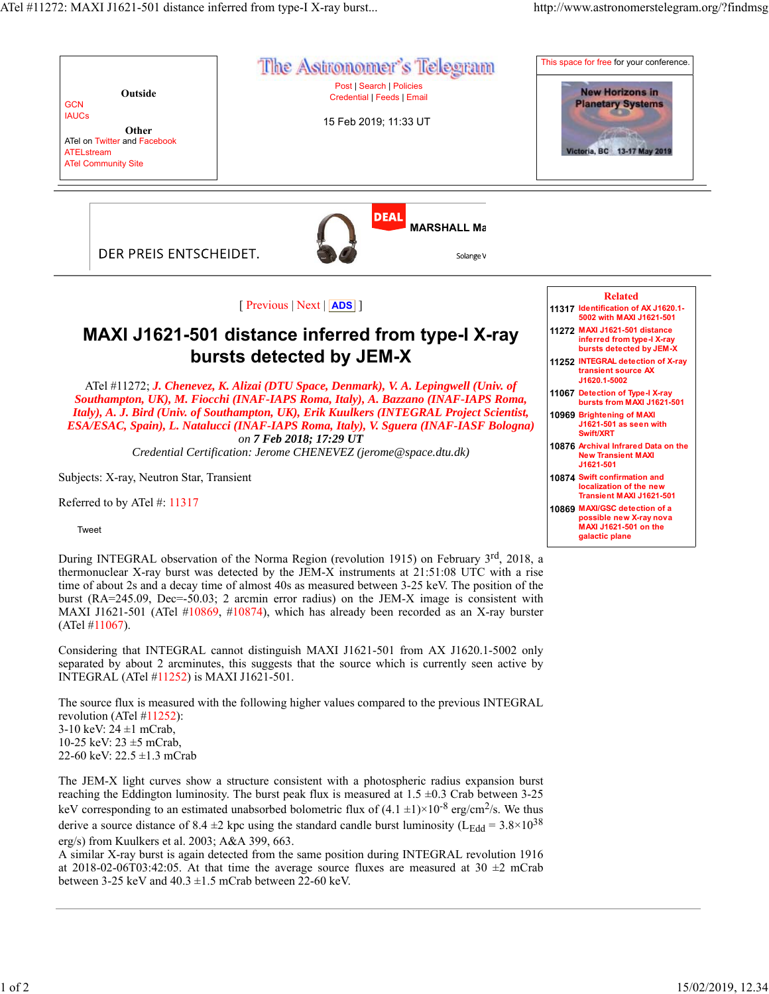

During INTEGRAL observation of the Norma Region (revolution 1915) on February 3<sup>rd</sup>, 2018, a thermonuclear X-ray burst was detected by the JEM-X instruments at 21:51:08 UTC with a rise time of about 2s and a decay time of almost 40s as measured between 3-25 keV. The position of the burst (RA=245.09, Dec=-50.03; 2 arcmin error radius) on the JEM-X image is consistent with MAXI J1621-501 (ATel #10869, #10874), which has already been recorded as an X-ray burster (ATel #11067).

Considering that INTEGRAL cannot distinguish MAXI J1621-501 from AX J1620.1-5002 only separated by about 2 arcminutes, this suggests that the source which is currently seen active by INTEGRAL (ATel #11252) is MAXI J1621-501.

The source flux is measured with the following higher values compared to the previous INTEGRAL revolution (ATel #11252): 3-10 keV:  $24 \pm 1$  mCrab, 10-25 keV: 23 ±5 mCrab, 22-60 keV:  $22.5 \pm 1.3$  mCrab

The JEM-X light curves show a structure consistent with a photospheric radius expansion burst reaching the Eddington luminosity. The burst peak flux is measured at  $1.5 \pm 0.3$  Crab between 3-25 keV corresponding to an estimated unabsorbed bolometric flux of  $(4.1 \pm 1) \times 10^{-8}$  erg/cm<sup>2</sup>/s. We thus derive a source distance of 8.4  $\pm$ 2 kpc using the standard candle burst luminosity (L<sub>Edd</sub> = 3.8×10<sup>38</sup>) erg/s) from Kuulkers et al. 2003; A&A 399, 663.

A similar X-ray burst is again detected from the same position during INTEGRAL revolution 1916 at 2018-02-06T03:42:05. At that time the average source fluxes are measured at 30  $\pm$ 2 mCrab between 3-25 keV and  $40.3 \pm 1.5$  mCrab between 22-60 keV.